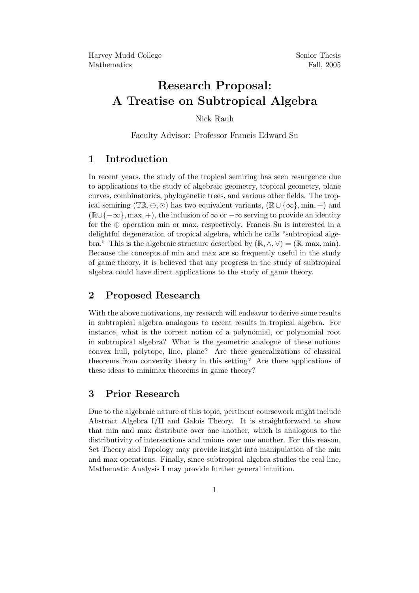# Research Proposal: A Treatise on Subtropical Algebra

Nick Rauh

Faculty Advisor: Professor Francis Edward Su

## 1 Introduction

In recent years, the study of the tropical semiring has seen resurgence due to applications to the study of algebraic geometry, tropical geometry, plane curves, combinatorics, phylogenetic trees, and various other fields. The tropical semiring ( $\mathbb{TR}, \oplus, \odot$ ) has two equivalent variants,  $(\mathbb{R} \cup {\infty}, \min, +)$  and  $(\mathbb{R}\cup\{-\infty\},\max,+),$  the inclusion of  $\infty$  or  $-\infty$  serving to provide an identity for the  $oplus$  operation min or max, respectively. Francis Su is interested in a delightful degeneration of tropical algebra, which he calls "subtropical algebra." This is the algebraic structure described by  $(\mathbb{R}, \wedge, \vee) = (\mathbb{R}, \max, \min)$ . Because the concepts of min and max are so frequently useful in the study of game theory, it is believed that any progress in the study of subtropical algebra could have direct applications to the study of game theory.

### 2 Proposed Research

With the above motivations, my research will endeavor to derive some results in subtropical algebra analogous to recent results in tropical algebra. For instance, what is the correct notion of a polynomial, or polynomial root in subtropical algebra? What is the geometric analogue of these notions: convex hull, polytope, line, plane? Are there generalizations of classical theorems from convexity theory in this setting? Are there applications of these ideas to minimax theorems in game theory?

#### 3 Prior Research

Due to the algebraic nature of this topic, pertinent coursework might include Abstract Algebra I/II and Galois Theory. It is straightforward to show that min and max distribute over one another, which is analogous to the distributivity of intersections and unions over one another. For this reason, Set Theory and Topology may provide insight into manipulation of the min and max operations. Finally, since subtropical algebra studies the real line, Mathematic Analysis I may provide further general intuition.